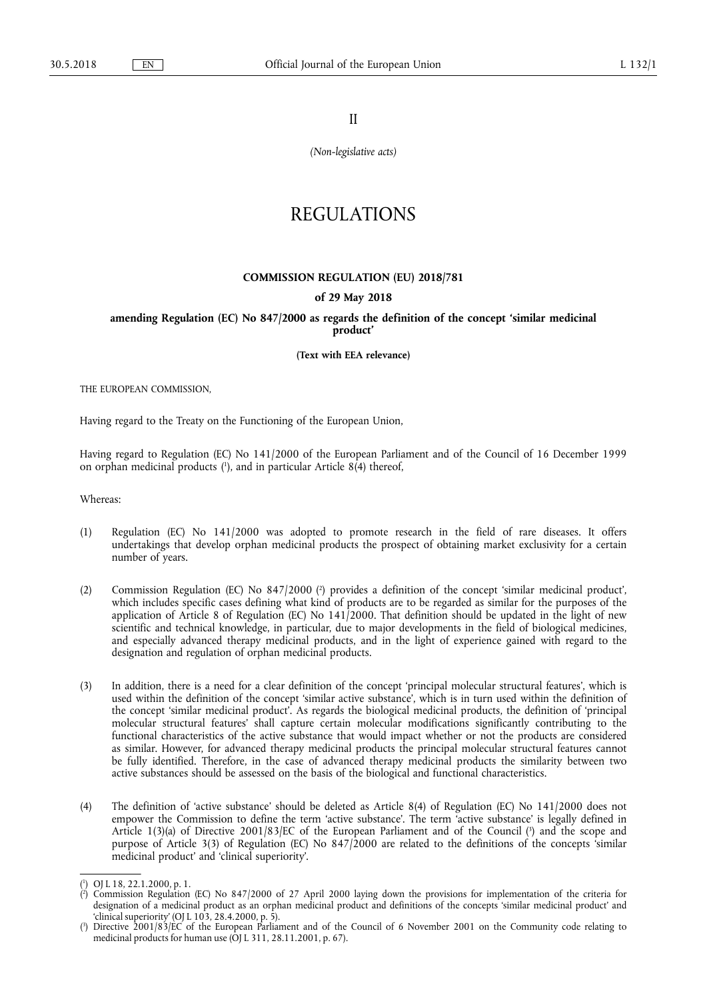II

*(Non-legislative acts)* 

# REGULATIONS

### **COMMISSION REGULATION (EU) 2018/781**

# **of 29 May 2018**

**amending Regulation (EC) No 847/2000 as regards the definition of the concept 'similar medicinal product'** 

**(Text with EEA relevance)** 

THE EUROPEAN COMMISSION,

Having regard to the Treaty on the Functioning of the European Union,

Having regard to Regulation (EC) No 141/2000 of the European Parliament and of the Council of 16 December 1999 on orphan medicinal products ( 1 ), and in particular Article 8(4) thereof,

Whereas:

- (1) Regulation (EC) No 141/2000 was adopted to promote research in the field of rare diseases. It offers undertakings that develop orphan medicinal products the prospect of obtaining market exclusivity for a certain number of years.
- (2) Commission Regulation (EC) No 847/2000 (?) provides a definition of the concept 'similar medicinal product', which includes specific cases defining what kind of products are to be regarded as similar for the purposes of the application of Article 8 of Regulation (EC) No  $141/2000$ . That definition should be updated in the light of new scientific and technical knowledge, in particular, due to major developments in the field of biological medicines, and especially advanced therapy medicinal products, and in the light of experience gained with regard to the designation and regulation of orphan medicinal products.
- (3) In addition, there is a need for a clear definition of the concept 'principal molecular structural features', which is used within the definition of the concept 'similar active substance', which is in turn used within the definition of the concept 'similar medicinal product'. As regards the biological medicinal products, the definition of 'principal molecular structural features' shall capture certain molecular modifications significantly contributing to the functional characteristics of the active substance that would impact whether or not the products are considered as similar. However, for advanced therapy medicinal products the principal molecular structural features cannot be fully identified. Therefore, in the case of advanced therapy medicinal products the similarity between two active substances should be assessed on the basis of the biological and functional characteristics.
- (4) The definition of 'active substance' should be deleted as Article 8(4) of Regulation (EC) No 141/2000 does not empower the Commission to define the term 'active substance'. The term 'active substance' is legally defined in Article 1(3)(a) of Directive 2001/83/EC of the European Parliament and of the Council ( 3 ) and the scope and purpose of Article 3(3) of Regulation (EC) No 847/2000 are related to the definitions of the concepts 'similar medicinal product' and 'clinical superiority'.

<sup>(</sup> 1 ) OJ L 18, 22.1.2000, p. 1.

<sup>(</sup> 2 ) Commission Regulation (EC) No 847/2000 of 27 April 2000 laying down the provisions for implementation of the criteria for designation of a medicinal product as an orphan medicinal product and definitions of the concepts 'similar medicinal product' and 'clinical superiority' (OJ L 103, 28.4.2000, p. 5).

<sup>(</sup> 3 ) Directive 2001/83/EC of the European Parliament and of the Council of 6 November 2001 on the Community code relating to medicinal products for human use (OJ L 311, 28.11.2001, p. 67).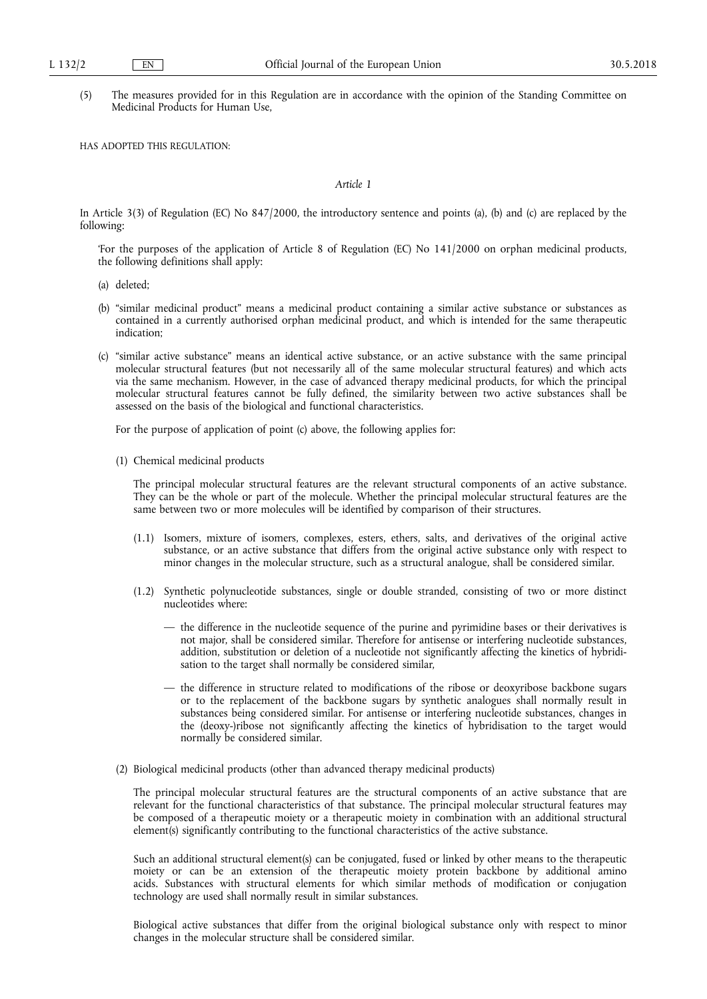(5) The measures provided for in this Regulation are in accordance with the opinion of the Standing Committee on Medicinal Products for Human Use,

HAS ADOPTED THIS REGULATION:

#### *Article 1*

In Article 3(3) of Regulation (EC) No 847/2000, the introductory sentence and points (a), (b) and (c) are replaced by the following:

'For the purposes of the application of Article 8 of Regulation (EC) No 141/2000 on orphan medicinal products, the following definitions shall apply:

- (a) deleted;
- (b) "similar medicinal product" means a medicinal product containing a similar active substance or substances as contained in a currently authorised orphan medicinal product, and which is intended for the same therapeutic indication;
- (c) "similar active substance" means an identical active substance, or an active substance with the same principal molecular structural features (but not necessarily all of the same molecular structural features) and which acts via the same mechanism. However, in the case of advanced therapy medicinal products, for which the principal molecular structural features cannot be fully defined, the similarity between two active substances shall be assessed on the basis of the biological and functional characteristics.

For the purpose of application of point (c) above, the following applies for:

(1) Chemical medicinal products

The principal molecular structural features are the relevant structural components of an active substance. They can be the whole or part of the molecule. Whether the principal molecular structural features are the same between two or more molecules will be identified by comparison of their structures.

- (1.1) Isomers, mixture of isomers, complexes, esters, ethers, salts, and derivatives of the original active substance, or an active substance that differs from the original active substance only with respect to minor changes in the molecular structure, such as a structural analogue, shall be considered similar.
- (1.2) Synthetic polynucleotide substances, single or double stranded, consisting of two or more distinct nucleotides where:
	- the difference in the nucleotide sequence of the purine and pyrimidine bases or their derivatives is not major, shall be considered similar. Therefore for antisense or interfering nucleotide substances, addition, substitution or deletion of a nucleotide not significantly affecting the kinetics of hybridisation to the target shall normally be considered similar,
	- the difference in structure related to modifications of the ribose or deoxyribose backbone sugars or to the replacement of the backbone sugars by synthetic analogues shall normally result in substances being considered similar. For antisense or interfering nucleotide substances, changes in the (deoxy-)ribose not significantly affecting the kinetics of hybridisation to the target would normally be considered similar.
- (2) Biological medicinal products (other than advanced therapy medicinal products)

The principal molecular structural features are the structural components of an active substance that are relevant for the functional characteristics of that substance. The principal molecular structural features may be composed of a therapeutic moiety or a therapeutic moiety in combination with an additional structural element(s) significantly contributing to the functional characteristics of the active substance.

Such an additional structural element(s) can be conjugated, fused or linked by other means to the therapeutic moiety or can be an extension of the therapeutic moiety protein backbone by additional amino acids. Substances with structural elements for which similar methods of modification or conjugation technology are used shall normally result in similar substances.

Biological active substances that differ from the original biological substance only with respect to minor changes in the molecular structure shall be considered similar.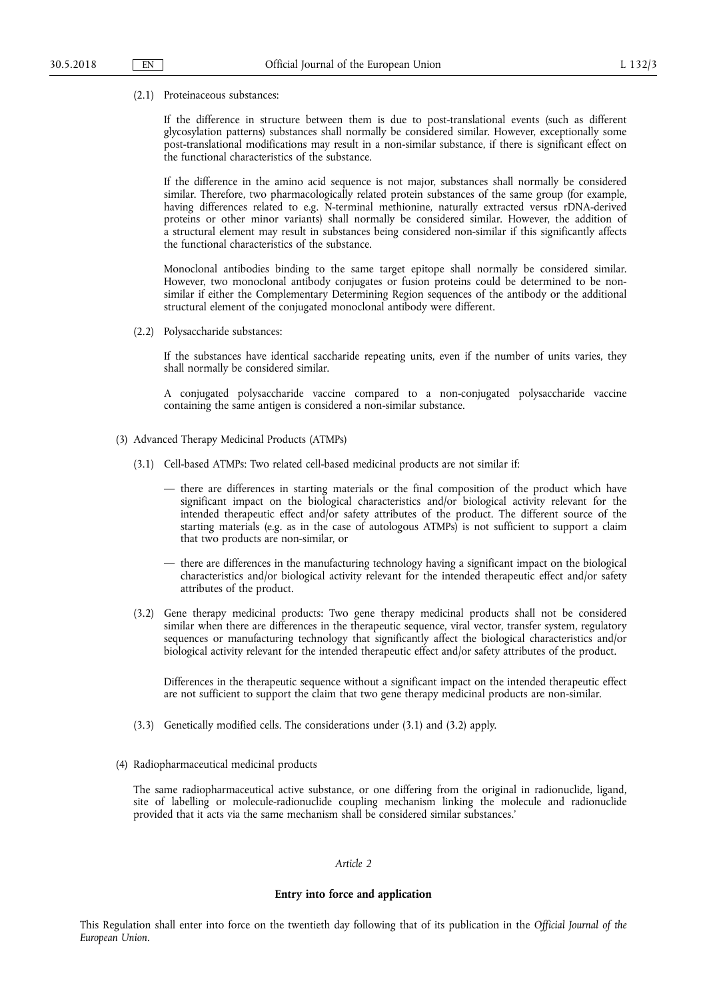(2.1) Proteinaceous substances:

If the difference in structure between them is due to post-translational events (such as different glycosylation patterns) substances shall normally be considered similar. However, exceptionally some post-translational modifications may result in a non-similar substance, if there is significant effect on the functional characteristics of the substance.

If the difference in the amino acid sequence is not major, substances shall normally be considered similar. Therefore, two pharmacologically related protein substances of the same group (for example, having differences related to e.g. N-terminal methionine, naturally extracted versus rDNA-derived proteins or other minor variants) shall normally be considered similar. However, the addition of a structural element may result in substances being considered non-similar if this significantly affects the functional characteristics of the substance.

Monoclonal antibodies binding to the same target epitope shall normally be considered similar. However, two monoclonal antibody conjugates or fusion proteins could be determined to be nonsimilar if either the Complementary Determining Region sequences of the antibody or the additional structural element of the conjugated monoclonal antibody were different.

(2.2) Polysaccharide substances:

If the substances have identical saccharide repeating units, even if the number of units varies, they shall normally be considered similar.

A conjugated polysaccharide vaccine compared to a non-conjugated polysaccharide vaccine containing the same antigen is considered a non-similar substance.

- (3) Advanced Therapy Medicinal Products (ATMPs)
	- (3.1) Cell-based ATMPs: Two related cell-based medicinal products are not similar if:
		- there are differences in starting materials or the final composition of the product which have significant impact on the biological characteristics and/or biological activity relevant for the intended therapeutic effect and/or safety attributes of the product. The different source of the starting materials (e.g. as in the case of autologous ATMPs) is not sufficient to support a claim that two products are non-similar, or
		- there are differences in the manufacturing technology having a significant impact on the biological characteristics and/or biological activity relevant for the intended therapeutic effect and/or safety attributes of the product.
	- (3.2) Gene therapy medicinal products: Two gene therapy medicinal products shall not be considered similar when there are differences in the therapeutic sequence, viral vector, transfer system, regulatory sequences or manufacturing technology that significantly affect the biological characteristics and/or biological activity relevant for the intended therapeutic effect and/or safety attributes of the product.

Differences in the therapeutic sequence without a significant impact on the intended therapeutic effect are not sufficient to support the claim that two gene therapy medicinal products are non-similar.

- (3.3) Genetically modified cells. The considerations under (3.1) and (3.2) apply.
- (4) Radiopharmaceutical medicinal products

The same radiopharmaceutical active substance, or one differing from the original in radionuclide, ligand, site of labelling or molecule-radionuclide coupling mechanism linking the molecule and radionuclide provided that it acts via the same mechanism shall be considered similar substances.'

# *Article 2*

# **Entry into force and application**

This Regulation shall enter into force on the twentieth day following that of its publication in the *Official Journal of the European Union*.